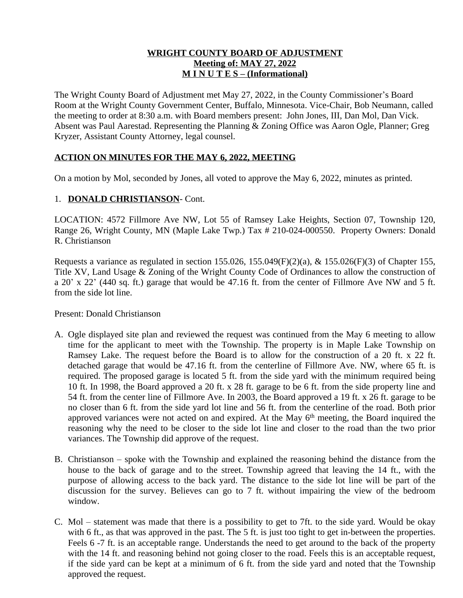## **WRIGHT COUNTY BOARD OF ADJUSTMENT Meeting of: MAY 27, 2022 M I N U T E S – (Informational)**

The Wright County Board of Adjustment met May 27, 2022, in the County Commissioner's Board Room at the Wright County Government Center, Buffalo, Minnesota. Vice-Chair, Bob Neumann, called the meeting to order at 8:30 a.m. with Board members present: John Jones, III, Dan Mol, Dan Vick. Absent was Paul Aarestad. Representing the Planning & Zoning Office was Aaron Ogle, Planner; Greg Kryzer, Assistant County Attorney, legal counsel.

# **ACTION ON MINUTES FOR THE MAY 6, 2022, MEETING**

On a motion by Mol, seconded by Jones, all voted to approve the May 6, 2022, minutes as printed.

## 1. **DONALD CHRISTIANSON**- Cont.

LOCATION: 4572 Fillmore Ave NW, Lot 55 of Ramsey Lake Heights, Section 07, Township 120, Range 26, Wright County, MN (Maple Lake Twp.) Tax # 210-024-000550. Property Owners: Donald R. Christianson

Requests a variance as regulated in section 155.026, 155.049(F)(2)(a), & 155.026(F)(3) of Chapter 155, Title XV, Land Usage & Zoning of the Wright County Code of Ordinances to allow the construction of a 20' x 22' (440 sq. ft.) garage that would be 47.16 ft. from the center of Fillmore Ave NW and 5 ft. from the side lot line.

Present: Donald Christianson

- A. Ogle displayed site plan and reviewed the request was continued from the May 6 meeting to allow time for the applicant to meet with the Township. The property is in Maple Lake Township on Ramsey Lake. The request before the Board is to allow for the construction of a 20 ft. x 22 ft. detached garage that would be 47.16 ft. from the centerline of Fillmore Ave. NW, where 65 ft. is required. The proposed garage is located 5 ft. from the side yard with the minimum required being 10 ft. In 1998, the Board approved a 20 ft. x 28 ft. garage to be 6 ft. from the side property line and 54 ft. from the center line of Fillmore Ave. In 2003, the Board approved a 19 ft. x 26 ft. garage to be no closer than 6 ft. from the side yard lot line and 56 ft. from the centerline of the road. Both prior approved variances were not acted on and expired. At the May 6<sup>th</sup> meeting, the Board inquired the reasoning why the need to be closer to the side lot line and closer to the road than the two prior variances. The Township did approve of the request.
- B. Christianson spoke with the Township and explained the reasoning behind the distance from the house to the back of garage and to the street. Township agreed that leaving the 14 ft., with the purpose of allowing access to the back yard. The distance to the side lot line will be part of the discussion for the survey. Believes can go to 7 ft. without impairing the view of the bedroom window.
- C. Mol statement was made that there is a possibility to get to 7ft. to the side yard. Would be okay with 6 ft., as that was approved in the past. The 5 ft. is just too tight to get in-between the properties. Feels 6 -7 ft. is an acceptable range. Understands the need to get around to the back of the property with the 14 ft. and reasoning behind not going closer to the road. Feels this is an acceptable request, if the side yard can be kept at a minimum of 6 ft. from the side yard and noted that the Township approved the request.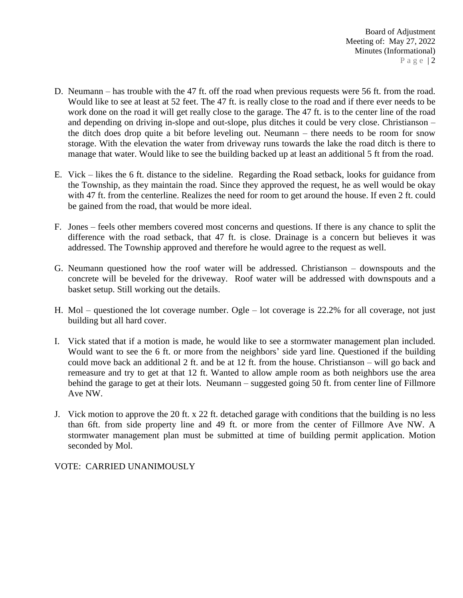- D. Neumann has trouble with the 47 ft. off the road when previous requests were 56 ft. from the road. Would like to see at least at 52 feet. The 47 ft. is really close to the road and if there ever needs to be work done on the road it will get really close to the garage. The 47 ft. is to the center line of the road and depending on driving in-slope and out-slope, plus ditches it could be very close. Christianson – the ditch does drop quite a bit before leveling out. Neumann – there needs to be room for snow storage. With the elevation the water from driveway runs towards the lake the road ditch is there to manage that water. Would like to see the building backed up at least an additional 5 ft from the road.
- E. Vick likes the 6 ft. distance to the sideline. Regarding the Road setback, looks for guidance from the Township, as they maintain the road. Since they approved the request, he as well would be okay with 47 ft. from the centerline. Realizes the need for room to get around the house. If even 2 ft. could be gained from the road, that would be more ideal.
- F. Jones feels other members covered most concerns and questions. If there is any chance to split the difference with the road setback, that 47 ft. is close. Drainage is a concern but believes it was addressed. The Township approved and therefore he would agree to the request as well.
- G. Neumann questioned how the roof water will be addressed. Christianson downspouts and the concrete will be beveled for the driveway. Roof water will be addressed with downspouts and a basket setup. Still working out the details.
- H. Mol questioned the lot coverage number. Ogle lot coverage is 22.2% for all coverage, not just building but all hard cover.
- I. Vick stated that if a motion is made, he would like to see a stormwater management plan included. Would want to see the 6 ft. or more from the neighbors' side yard line. Questioned if the building could move back an additional 2 ft. and be at 12 ft. from the house. Christianson – will go back and remeasure and try to get at that 12 ft. Wanted to allow ample room as both neighbors use the area behind the garage to get at their lots. Neumann – suggested going 50 ft. from center line of Fillmore Ave NW.
- J. Vick motion to approve the 20 ft. x 22 ft. detached garage with conditions that the building is no less than 6ft. from side property line and 49 ft. or more from the center of Fillmore Ave NW. A stormwater management plan must be submitted at time of building permit application. Motion seconded by Mol.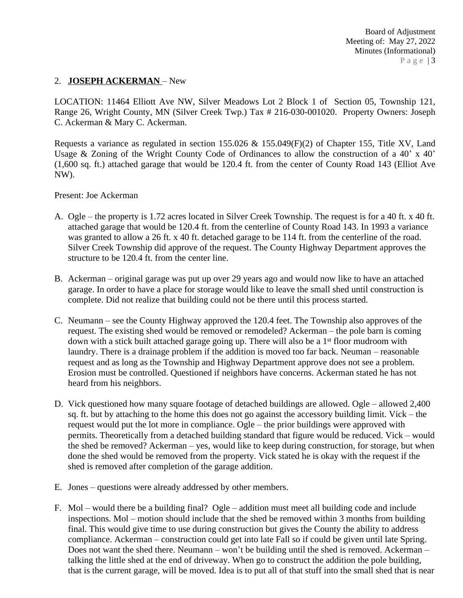## 2. **JOSEPH ACKERMAN** – New

LOCATION: 11464 Elliott Ave NW, Silver Meadows Lot 2 Block 1 of Section 05, Township 121, Range 26, Wright County, MN (Silver Creek Twp.) Tax # 216-030-001020. Property Owners: Joseph C. Ackerman & Mary C. Ackerman.

Requests a variance as regulated in section 155.026 & 155.049 $(F)(2)$  of Chapter 155, Title XV, Land Usage & Zoning of the Wright County Code of Ordinances to allow the construction of a 40' x 40' (1,600 sq. ft.) attached garage that would be 120.4 ft. from the center of County Road 143 (Elliot Ave NW).

## Present: Joe Ackerman

- A. Ogle the property is 1.72 acres located in Silver Creek Township. The request is for a 40 ft. x 40 ft. attached garage that would be 120.4 ft. from the centerline of County Road 143. In 1993 a variance was granted to allow a 26 ft. x 40 ft. detached garage to be 114 ft. from the centerline of the road. Silver Creek Township did approve of the request. The County Highway Department approves the structure to be 120.4 ft. from the center line.
- B. Ackerman original garage was put up over 29 years ago and would now like to have an attached garage. In order to have a place for storage would like to leave the small shed until construction is complete. Did not realize that building could not be there until this process started.
- C. Neumann see the County Highway approved the 120.4 feet. The Township also approves of the request. The existing shed would be removed or remodeled? Ackerman – the pole barn is coming down with a stick built attached garage going up. There will also be a  $1<sup>st</sup>$  floor mudroom with laundry. There is a drainage problem if the addition is moved too far back. Neuman – reasonable request and as long as the Township and Highway Department approve does not see a problem. Erosion must be controlled. Questioned if neighbors have concerns. Ackerman stated he has not heard from his neighbors.
- D. Vick questioned how many square footage of detached buildings are allowed. Ogle allowed 2,400 sq. ft. but by attaching to the home this does not go against the accessory building limit. Vick – the request would put the lot more in compliance. Ogle – the prior buildings were approved with permits. Theoretically from a detached building standard that figure would be reduced. Vick – would the shed be removed? Ackerman – yes, would like to keep during construction, for storage, but when done the shed would be removed from the property. Vick stated he is okay with the request if the shed is removed after completion of the garage addition.
- E. Jones questions were already addressed by other members.
- F. Mol would there be a building final? Ogle addition must meet all building code and include inspections. Mol – motion should include that the shed be removed within 3 months from building final. This would give time to use during construction but gives the County the ability to address compliance. Ackerman – construction could get into late Fall so if could be given until late Spring. Does not want the shed there. Neumann – won't be building until the shed is removed. Ackerman – talking the little shed at the end of driveway. When go to construct the addition the pole building, that is the current garage, will be moved. Idea is to put all of that stuff into the small shed that is near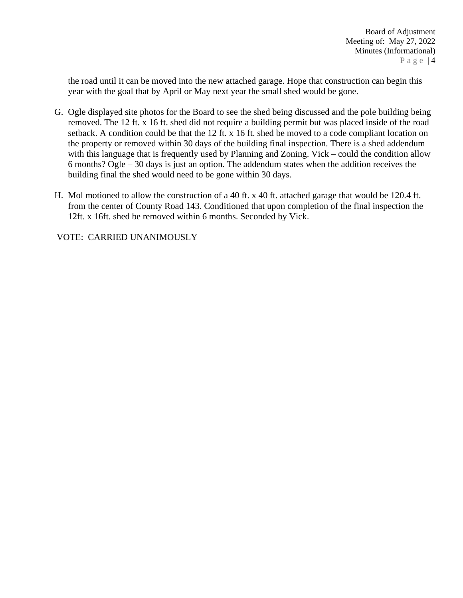the road until it can be moved into the new attached garage. Hope that construction can begin this year with the goal that by April or May next year the small shed would be gone.

- G. Ogle displayed site photos for the Board to see the shed being discussed and the pole building being removed. The 12 ft. x 16 ft. shed did not require a building permit but was placed inside of the road setback. A condition could be that the 12 ft. x 16 ft. shed be moved to a code compliant location on the property or removed within 30 days of the building final inspection. There is a shed addendum with this language that is frequently used by Planning and Zoning. Vick – could the condition allow 6 months? Ogle – 30 days is just an option. The addendum states when the addition receives the building final the shed would need to be gone within 30 days.
- H. Mol motioned to allow the construction of a 40 ft. x 40 ft. attached garage that would be 120.4 ft. from the center of County Road 143. Conditioned that upon completion of the final inspection the 12ft. x 16ft. shed be removed within 6 months. Seconded by Vick.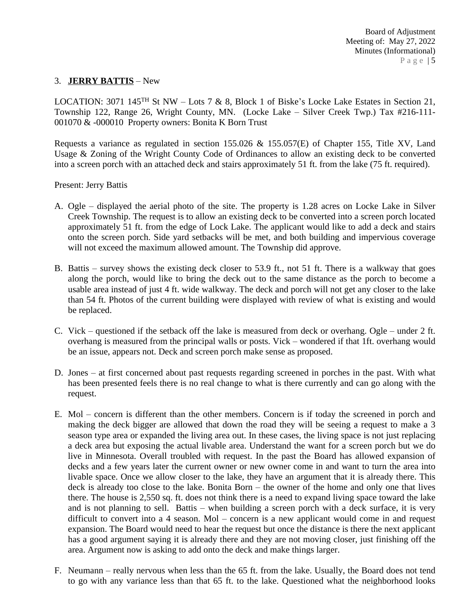## 3. **JERRY BATTIS** – New

LOCATION: 3071 145<sup>TH</sup> St NW – Lots 7 & 8, Block 1 of Biske's Locke Lake Estates in Section 21, Township 122, Range 26, Wright County, MN. (Locke Lake – Silver Creek Twp.) Tax #216-111- 001070 & -000010 Property owners: Bonita K Born Trust

Requests a variance as regulated in section 155.026 & 155.057(E) of Chapter 155, Title XV, Land Usage & Zoning of the Wright County Code of Ordinances to allow an existing deck to be converted into a screen porch with an attached deck and stairs approximately 51 ft. from the lake (75 ft. required).

Present: Jerry Battis

- A. Ogle displayed the aerial photo of the site. The property is 1.28 acres on Locke Lake in Silver Creek Township. The request is to allow an existing deck to be converted into a screen porch located approximately 51 ft. from the edge of Lock Lake. The applicant would like to add a deck and stairs onto the screen porch. Side yard setbacks will be met, and both building and impervious coverage will not exceed the maximum allowed amount. The Township did approve.
- B. Battis survey shows the existing deck closer to 53.9 ft., not 51 ft. There is a walkway that goes along the porch, would like to bring the deck out to the same distance as the porch to become a usable area instead of just 4 ft. wide walkway. The deck and porch will not get any closer to the lake than 54 ft. Photos of the current building were displayed with review of what is existing and would be replaced.
- C. Vick questioned if the setback off the lake is measured from deck or overhang. Ogle under 2 ft. overhang is measured from the principal walls or posts. Vick – wondered if that 1ft. overhang would be an issue, appears not. Deck and screen porch make sense as proposed.
- D. Jones at first concerned about past requests regarding screened in porches in the past. With what has been presented feels there is no real change to what is there currently and can go along with the request.
- E. Mol concern is different than the other members. Concern is if today the screened in porch and making the deck bigger are allowed that down the road they will be seeing a request to make a 3 season type area or expanded the living area out. In these cases, the living space is not just replacing a deck area but exposing the actual livable area. Understand the want for a screen porch but we do live in Minnesota. Overall troubled with request. In the past the Board has allowed expansion of decks and a few years later the current owner or new owner come in and want to turn the area into livable space. Once we allow closer to the lake, they have an argument that it is already there. This deck is already too close to the lake. Bonita Born – the owner of the home and only one that lives there. The house is 2,550 sq. ft. does not think there is a need to expand living space toward the lake and is not planning to sell. Battis – when building a screen porch with a deck surface, it is very difficult to convert into a 4 season. Mol – concern is a new applicant would come in and request expansion. The Board would need to hear the request but once the distance is there the next applicant has a good argument saying it is already there and they are not moving closer, just finishing off the area. Argument now is asking to add onto the deck and make things larger.
- F. Neumann really nervous when less than the 65 ft. from the lake. Usually, the Board does not tend to go with any variance less than that 65 ft. to the lake. Questioned what the neighborhood looks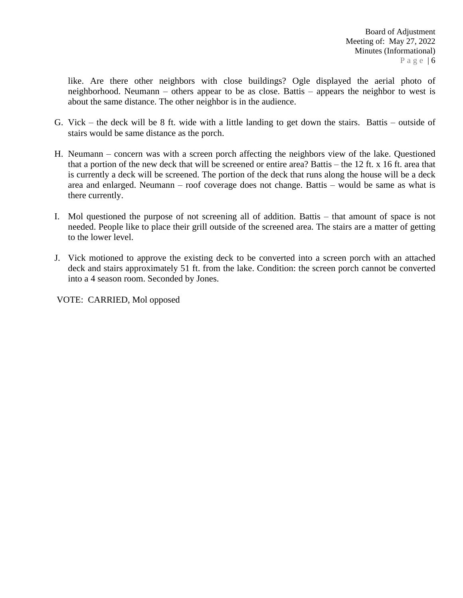like. Are there other neighbors with close buildings? Ogle displayed the aerial photo of neighborhood. Neumann – others appear to be as close. Battis – appears the neighbor to west is about the same distance. The other neighbor is in the audience.

- G. Vick the deck will be 8 ft. wide with a little landing to get down the stairs. Battis outside of stairs would be same distance as the porch.
- H. Neumann concern was with a screen porch affecting the neighbors view of the lake. Questioned that a portion of the new deck that will be screened or entire area? Battis – the 12 ft. x 16 ft. area that is currently a deck will be screened. The portion of the deck that runs along the house will be a deck area and enlarged. Neumann – roof coverage does not change. Battis – would be same as what is there currently.
- I. Mol questioned the purpose of not screening all of addition. Battis that amount of space is not needed. People like to place their grill outside of the screened area. The stairs are a matter of getting to the lower level.
- J. Vick motioned to approve the existing deck to be converted into a screen porch with an attached deck and stairs approximately 51 ft. from the lake. Condition: the screen porch cannot be converted into a 4 season room. Seconded by Jones.

VOTE: CARRIED, Mol opposed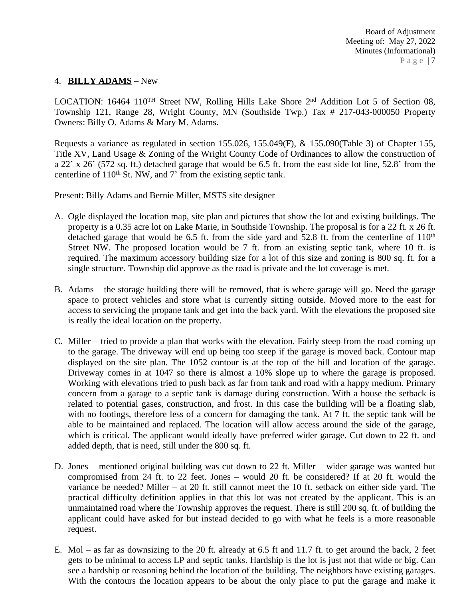## 4. **BILLY ADAMS** – New

LOCATION: 16464 110<sup>TH</sup> Street NW, Rolling Hills Lake Shore 2<sup>nd</sup> Addition Lot 5 of Section 08, Township 121, Range 28, Wright County, MN (Southside Twp.) Tax # 217-043-000050 Property Owners: Billy O. Adams & Mary M. Adams.

Requests a variance as regulated in section 155.026, 155.049(F), & 155.090(Table 3) of Chapter 155, Title XV, Land Usage & Zoning of the Wright County Code of Ordinances to allow the construction of a 22' x 26' (572 sq. ft.) detached garage that would be 6.5 ft. from the east side lot line, 52.8' from the centerline of  $110<sup>th</sup>$  St. NW, and 7' from the existing septic tank.

Present: Billy Adams and Bernie Miller, MSTS site designer

- A. Ogle displayed the location map, site plan and pictures that show the lot and existing buildings. The property is a 0.35 acre lot on Lake Marie, in Southside Township. The proposal is for a 22 ft. x 26 ft. detached garage that would be  $6.5$  ft. from the side yard and  $52.8$  ft. from the centerline of  $110<sup>th</sup>$ Street NW. The proposed location would be 7 ft. from an existing septic tank, where 10 ft. is required. The maximum accessory building size for a lot of this size and zoning is 800 sq. ft. for a single structure. Township did approve as the road is private and the lot coverage is met.
- B. Adams the storage building there will be removed, that is where garage will go. Need the garage space to protect vehicles and store what is currently sitting outside. Moved more to the east for access to servicing the propane tank and get into the back yard. With the elevations the proposed site is really the ideal location on the property.
- C. Miller tried to provide a plan that works with the elevation. Fairly steep from the road coming up to the garage. The driveway will end up being too steep if the garage is moved back. Contour map displayed on the site plan. The 1052 contour is at the top of the hill and location of the garage. Driveway comes in at 1047 so there is almost a 10% slope up to where the garage is proposed. Working with elevations tried to push back as far from tank and road with a happy medium. Primary concern from a garage to a septic tank is damage during construction. With a house the setback is related to potential gases, construction, and frost. In this case the building will be a floating slab, with no footings, therefore less of a concern for damaging the tank. At 7 ft. the septic tank will be able to be maintained and replaced. The location will allow access around the side of the garage, which is critical. The applicant would ideally have preferred wider garage. Cut down to 22 ft. and added depth, that is need, still under the 800 sq. ft.
- D. Jones mentioned original building was cut down to 22 ft. Miller wider garage was wanted but compromised from 24 ft. to 22 feet. Jones – would 20 ft. be considered? If at 20 ft. would the variance be needed? Miller – at 20 ft. still cannot meet the 10 ft. setback on either side yard. The practical difficulty definition applies in that this lot was not created by the applicant. This is an unmaintained road where the Township approves the request. There is still 200 sq. ft. of building the applicant could have asked for but instead decided to go with what he feels is a more reasonable request.
- E. Mol as far as downsizing to the 20 ft. already at 6.5 ft and 11.7 ft. to get around the back, 2 feet gets to be minimal to access LP and septic tanks. Hardship is the lot is just not that wide or big. Can see a hardship or reasoning behind the location of the building. The neighbors have existing garages. With the contours the location appears to be about the only place to put the garage and make it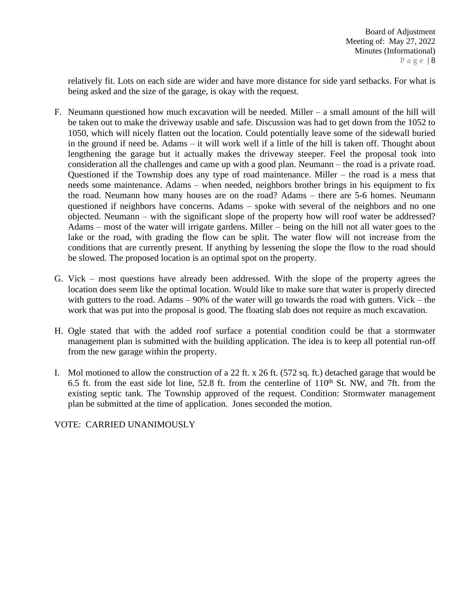relatively fit. Lots on each side are wider and have more distance for side yard setbacks. For what is being asked and the size of the garage, is okay with the request.

- F. Neumann questioned how much excavation will be needed. Miller a small amount of the hill will be taken out to make the driveway usable and safe. Discussion was had to get down from the 1052 to 1050, which will nicely flatten out the location. Could potentially leave some of the sidewall buried in the ground if need be. Adams – it will work well if a little of the hill is taken off. Thought about lengthening the garage but it actually makes the driveway steeper. Feel the proposal took into consideration all the challenges and came up with a good plan. Neumann – the road is a private road. Questioned if the Township does any type of road maintenance. Miller – the road is a mess that needs some maintenance. Adams – when needed, neighbors brother brings in his equipment to fix the road. Neumann how many houses are on the road? Adams – there are 5-6 homes. Neumann questioned if neighbors have concerns. Adams – spoke with several of the neighbors and no one objected. Neumann – with the significant slope of the property how will roof water be addressed? Adams – most of the water will irrigate gardens. Miller – being on the hill not all water goes to the lake or the road, with grading the flow can be split. The water flow will not increase from the conditions that are currently present. If anything by lessening the slope the flow to the road should be slowed. The proposed location is an optimal spot on the property.
- G. Vick most questions have already been addressed. With the slope of the property agrees the location does seem like the optimal location. Would like to make sure that water is properly directed with gutters to the road. Adams – 90% of the water will go towards the road with gutters. Vick – the work that was put into the proposal is good. The floating slab does not require as much excavation.
- H. Ogle stated that with the added roof surface a potential condition could be that a stormwater management plan is submitted with the building application. The idea is to keep all potential run-off from the new garage within the property.
- I. Mol motioned to allow the construction of a 22 ft. x 26 ft. (572 sq. ft.) detached garage that would be 6.5 ft. from the east side lot line, 52.8 ft. from the centerline of  $110<sup>th</sup>$  St. NW, and 7ft. from the existing septic tank. The Township approved of the request. Condition: Stormwater management plan be submitted at the time of application. Jones seconded the motion.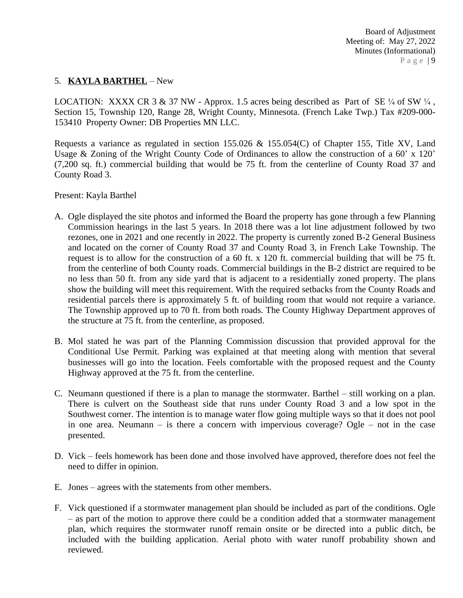## 5. **KAYLA BARTHEL** – New

LOCATION: XXXX CR 3 & 37 NW - Approx. 1.5 acres being described as Part of SE  $\frac{1}{4}$  of SW  $\frac{1}{4}$ , Section 15, Township 120, Range 28, Wright County, Minnesota. (French Lake Twp.) Tax #209-000- 153410 Property Owner: DB Properties MN LLC.

Requests a variance as regulated in section 155.026 & 155.054(C) of Chapter 155, Title XV, Land Usage & Zoning of the Wright County Code of Ordinances to allow the construction of a 60' x 120' (7,200 sq. ft.) commercial building that would be 75 ft. from the centerline of County Road 37 and County Road 3.

Present: Kayla Barthel

- A. Ogle displayed the site photos and informed the Board the property has gone through a few Planning Commission hearings in the last 5 years. In 2018 there was a lot line adjustment followed by two rezones, one in 2021 and one recently in 2022. The property is currently zoned B-2 General Business and located on the corner of County Road 37 and County Road 3, in French Lake Township. The request is to allow for the construction of a 60 ft. x 120 ft. commercial building that will be 75 ft. from the centerline of both County roads. Commercial buildings in the B-2 district are required to be no less than 50 ft. from any side yard that is adjacent to a residentially zoned property. The plans show the building will meet this requirement. With the required setbacks from the County Roads and residential parcels there is approximately 5 ft. of building room that would not require a variance. The Township approved up to 70 ft. from both roads. The County Highway Department approves of the structure at 75 ft. from the centerline, as proposed.
- B. Mol stated he was part of the Planning Commission discussion that provided approval for the Conditional Use Permit. Parking was explained at that meeting along with mention that several businesses will go into the location. Feels comfortable with the proposed request and the County Highway approved at the 75 ft. from the centerline.
- C. Neumann questioned if there is a plan to manage the stormwater. Barthel still working on a plan. There is culvert on the Southeast side that runs under County Road 3 and a low spot in the Southwest corner. The intention is to manage water flow going multiple ways so that it does not pool in one area. Neumann – is there a concern with impervious coverage? Ogle – not in the case presented.
- D. Vick feels homework has been done and those involved have approved, therefore does not feel the need to differ in opinion.
- E. Jones agrees with the statements from other members.
- F. Vick questioned if a stormwater management plan should be included as part of the conditions. Ogle – as part of the motion to approve there could be a condition added that a stormwater management plan, which requires the stormwater runoff remain onsite or be directed into a public ditch, be included with the building application. Aerial photo with water runoff probability shown and reviewed.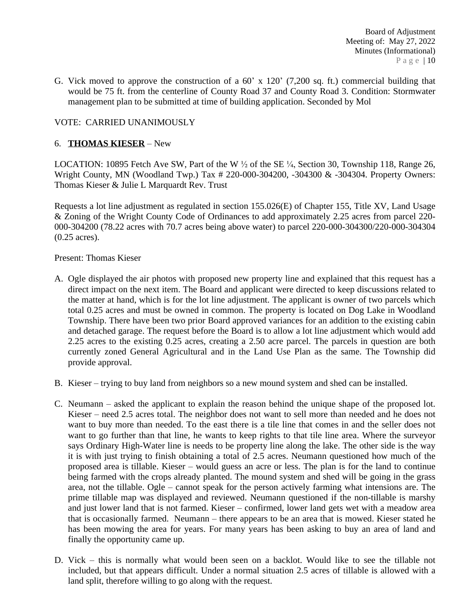G. Vick moved to approve the construction of a 60' x 120' (7,200 sq. ft.) commercial building that would be 75 ft. from the centerline of County Road 37 and County Road 3. Condition: Stormwater management plan to be submitted at time of building application. Seconded by Mol

## VOTE: CARRIED UNANIMOUSLY

### 6. **THOMAS KIESER** – New

LOCATION: 10895 Fetch Ave SW, Part of the W  $\frac{1}{2}$  of the SE  $\frac{1}{4}$ , Section 30, Township 118, Range 26, Wright County, MN (Woodland Twp.) Tax # 220-000-304200, -304300 & -304304. Property Owners: Thomas Kieser & Julie L Marquardt Rev. Trust

Requests a lot line adjustment as regulated in section 155.026(E) of Chapter 155, Title XV, Land Usage & Zoning of the Wright County Code of Ordinances to add approximately 2.25 acres from parcel 220- 000-304200 (78.22 acres with 70.7 acres being above water) to parcel 220-000-304300/220-000-304304 (0.25 acres).

#### Present: Thomas Kieser

- A. Ogle displayed the air photos with proposed new property line and explained that this request has a direct impact on the next item. The Board and applicant were directed to keep discussions related to the matter at hand, which is for the lot line adjustment. The applicant is owner of two parcels which total 0.25 acres and must be owned in common. The property is located on Dog Lake in Woodland Township. There have been two prior Board approved variances for an addition to the existing cabin and detached garage. The request before the Board is to allow a lot line adjustment which would add 2.25 acres to the existing 0.25 acres, creating a 2.50 acre parcel. The parcels in question are both currently zoned General Agricultural and in the Land Use Plan as the same. The Township did provide approval.
- B. Kieser trying to buy land from neighbors so a new mound system and shed can be installed.
- C. Neumann asked the applicant to explain the reason behind the unique shape of the proposed lot. Kieser – need 2.5 acres total. The neighbor does not want to sell more than needed and he does not want to buy more than needed. To the east there is a tile line that comes in and the seller does not want to go further than that line, he wants to keep rights to that tile line area. Where the surveyor says Ordinary High-Water line is needs to be property line along the lake. The other side is the way it is with just trying to finish obtaining a total of 2.5 acres. Neumann questioned how much of the proposed area is tillable. Kieser – would guess an acre or less. The plan is for the land to continue being farmed with the crops already planted. The mound system and shed will be going in the grass area, not the tillable. Ogle – cannot speak for the person actively farming what intensions are. The prime tillable map was displayed and reviewed. Neumann questioned if the non-tillable is marshy and just lower land that is not farmed. Kieser – confirmed, lower land gets wet with a meadow area that is occasionally farmed. Neumann – there appears to be an area that is mowed. Kieser stated he has been mowing the area for years. For many years has been asking to buy an area of land and finally the opportunity came up.
- D. Vick this is normally what would been seen on a backlot. Would like to see the tillable not included, but that appears difficult. Under a normal situation 2.5 acres of tillable is allowed with a land split, therefore willing to go along with the request.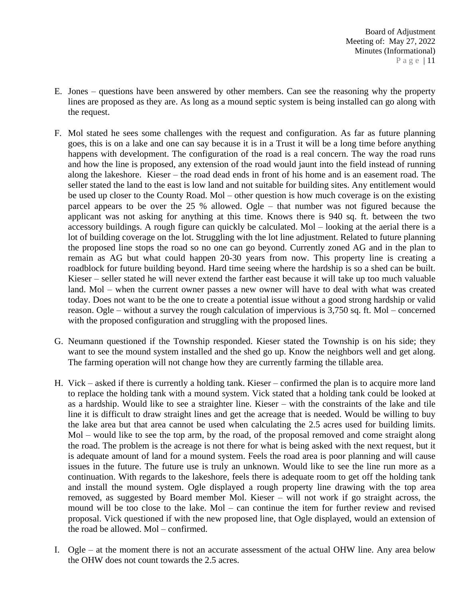- E. Jones questions have been answered by other members. Can see the reasoning why the property lines are proposed as they are. As long as a mound septic system is being installed can go along with the request.
- F. Mol stated he sees some challenges with the request and configuration. As far as future planning goes, this is on a lake and one can say because it is in a Trust it will be a long time before anything happens with development. The configuration of the road is a real concern. The way the road runs and how the line is proposed, any extension of the road would jaunt into the field instead of running along the lakeshore. Kieser – the road dead ends in front of his home and is an easement road. The seller stated the land to the east is low land and not suitable for building sites. Any entitlement would be used up closer to the County Road. Mol – other question is how much coverage is on the existing parcel appears to be over the 25 % allowed. Ogle – that number was not figured because the applicant was not asking for anything at this time. Knows there is 940 sq. ft. between the two accessory buildings. A rough figure can quickly be calculated. Mol – looking at the aerial there is a lot of building coverage on the lot. Struggling with the lot line adjustment. Related to future planning the proposed line stops the road so no one can go beyond. Currently zoned AG and in the plan to remain as AG but what could happen 20-30 years from now. This property line is creating a roadblock for future building beyond. Hard time seeing where the hardship is so a shed can be built. Kieser – seller stated he will never extend the farther east because it will take up too much valuable land. Mol – when the current owner passes a new owner will have to deal with what was created today. Does not want to be the one to create a potential issue without a good strong hardship or valid reason. Ogle – without a survey the rough calculation of impervious is 3,750 sq. ft. Mol – concerned with the proposed configuration and struggling with the proposed lines.
- G. Neumann questioned if the Township responded. Kieser stated the Township is on his side; they want to see the mound system installed and the shed go up. Know the neighbors well and get along. The farming operation will not change how they are currently farming the tillable area.
- H. Vick asked if there is currently a holding tank. Kieser confirmed the plan is to acquire more land to replace the holding tank with a mound system. Vick stated that a holding tank could be looked at as a hardship. Would like to see a straighter line. Kieser – with the constraints of the lake and tile line it is difficult to draw straight lines and get the acreage that is needed. Would be willing to buy the lake area but that area cannot be used when calculating the 2.5 acres used for building limits. Mol – would like to see the top arm, by the road, of the proposal removed and come straight along the road. The problem is the acreage is not there for what is being asked with the next request, but it is adequate amount of land for a mound system. Feels the road area is poor planning and will cause issues in the future. The future use is truly an unknown. Would like to see the line run more as a continuation. With regards to the lakeshore, feels there is adequate room to get off the holding tank and install the mound system. Ogle displayed a rough property line drawing with the top area removed, as suggested by Board member Mol. Kieser – will not work if go straight across, the mound will be too close to the lake. Mol – can continue the item for further review and revised proposal. Vick questioned if with the new proposed line, that Ogle displayed, would an extension of the road be allowed. Mol – confirmed.
- I. Ogle at the moment there is not an accurate assessment of the actual OHW line. Any area below the OHW does not count towards the 2.5 acres.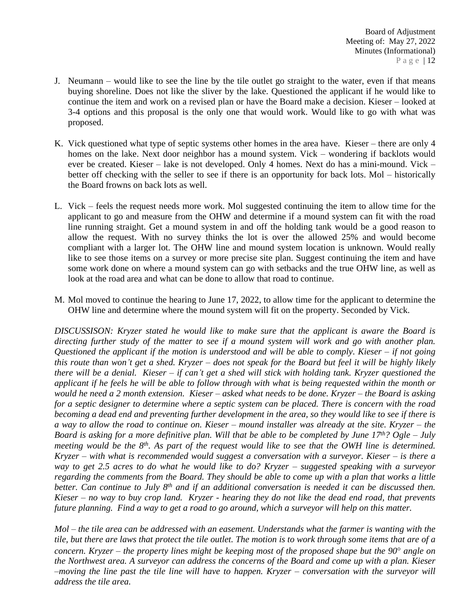- J. Neumann would like to see the line by the tile outlet go straight to the water, even if that means buying shoreline. Does not like the sliver by the lake. Questioned the applicant if he would like to continue the item and work on a revised plan or have the Board make a decision. Kieser – looked at 3-4 options and this proposal is the only one that would work. Would like to go with what was proposed.
- K. Vick questioned what type of septic systems other homes in the area have. Kieser there are only 4 homes on the lake. Next door neighbor has a mound system. Vick – wondering if backlots would ever be created. Kieser – lake is not developed. Only 4 homes. Next do has a mini-mound. Vick – better off checking with the seller to see if there is an opportunity for back lots. Mol – historically the Board frowns on back lots as well.
- L. Vick feels the request needs more work. Mol suggested continuing the item to allow time for the applicant to go and measure from the OHW and determine if a mound system can fit with the road line running straight. Get a mound system in and off the holding tank would be a good reason to allow the request. With no survey thinks the lot is over the allowed 25% and would become compliant with a larger lot. The OHW line and mound system location is unknown. Would really like to see those items on a survey or more precise site plan. Suggest continuing the item and have some work done on where a mound system can go with setbacks and the true OHW line, as well as look at the road area and what can be done to allow that road to continue.
- M. Mol moved to continue the hearing to June 17, 2022, to allow time for the applicant to determine the OHW line and determine where the mound system will fit on the property. Seconded by Vick.

*DISCUSSISON: Kryzer stated he would like to make sure that the applicant is aware the Board is* directing further study of the matter to see if a mound system will work and go with another plan. Questioned the applicant if the motion is understood and will be able to comply. Kieser  $-$  if not going this route than won't get a shed. Kryzer – does not speak for the Board but feel it will be highly likely there will be a denial. Kieser  $-$  if can't get a shed will stick with holding tank. Kryzer questioned the applicant if he feels he will be able to follow through with what is being requested within the month or would he need a 2 month extension. Kieser – asked what needs to be done. Kryzer – the Board is asking for a septic designer to determine where a septic system can be placed. There is concern with the road becoming a dead end and preventing further development in the area, so they would like to see if there is a way to allow the road to continue on. Kieser – mound installer was already at the site. Kryzer – the Board is asking for a more definitive plan. Will that be able to be completed by June  $17<sup>th</sup>$ ? Ogle – July meeting would be the 8<sup>th</sup>. As part of the request would like to see that the OWH line is determined.  $Kryzer$  – with what is recommended would suggest a conversation with a surveyor. Kieser – is there a way to get 2.5 acres to do what he would like to do? Kryzer – suggested speaking with a surveyor regarding the comments from the Board. They should be able to come up with a plan that works a little better. Can continue to July 8<sup>th</sup> and if an additional conversation is needed it can be discussed then. Kieser  $-$  no way to buy crop land. Kryzer - hearing they do not like the dead end road, that prevents *future planning. Find a way to get a road to go around, which a surveyor will help on this matter.*

 $Mol$  – the tile area can be addressed with an easement. Understands what the farmer is wanting with the tile, but there are laws that protect the tile outlet. The motion is to work through some items that are of a concern. Kryzer – the property lines might be keeping most of the proposed shape but the  $90^{\circ}$  angle on the Northwest area. A surveyor can address the concerns of the Board and come up with a plan. Kieser  $-moving$  the line past the tile line will have to happen. Kryzer – conversation with the surveyor will *address the tile area.*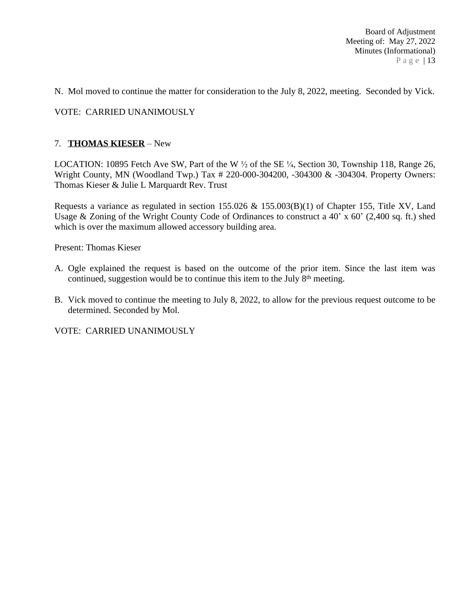N. Mol moved to continue the matter for consideration to the July 8, 2022, meeting. Seconded by Vick.

### VOTE: CARRIED UNANIMOUSLY

#### 7. **THOMAS KIESER** – New

LOCATION: 10895 Fetch Ave SW, Part of the W  $\frac{1}{2}$  of the SE  $\frac{1}{4}$ , Section 30, Township 118, Range 26, Wright County, MN (Woodland Twp.) Tax # 220-000-304200, -304300 & -304304. Property Owners: Thomas Kieser & Julie L Marquardt Rev. Trust

Requests a variance as regulated in section 155.026 & 155.003(B)(1) of Chapter 155, Title XV, Land Usage & Zoning of the Wright County Code of Ordinances to construct a 40' x 60' (2,400 sq. ft.) shed which is over the maximum allowed accessory building area.

Present: Thomas Kieser

- A. Ogle explained the request is based on the outcome of the prior item. Since the last item was continued, suggestion would be to continue this item to the July 8<sup>th</sup> meeting.
- B. Vick moved to continue the meeting to July 8, 2022, to allow for the previous request outcome to be determined. Seconded by Mol.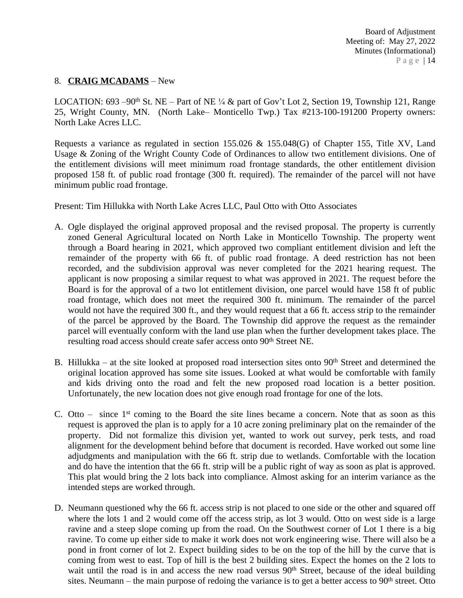## 8. **CRAIG MCADAMS** – New

LOCATION: 693 –90<sup>th</sup> St. NE – Part of NE ¼ & part of Gov't Lot 2, Section 19, Township 121, Range 25, Wright County, MN. (North Lake– Monticello Twp.) Tax #213-100-191200 Property owners: North Lake Acres LLC.

Requests a variance as regulated in section 155.026 & 155.048(G) of Chapter 155, Title XV, Land Usage & Zoning of the Wright County Code of Ordinances to allow two entitlement divisions. One of the entitlement divisions will meet minimum road frontage standards, the other entitlement division proposed 158 ft. of public road frontage (300 ft. required). The remainder of the parcel will not have minimum public road frontage.

Present: Tim Hillukka with North Lake Acres LLC, Paul Otto with Otto Associates

- A. Ogle displayed the original approved proposal and the revised proposal. The property is currently zoned General Agricultural located on North Lake in Monticello Township. The property went through a Board hearing in 2021, which approved two compliant entitlement division and left the remainder of the property with 66 ft. of public road frontage. A deed restriction has not been recorded, and the subdivision approval was never completed for the 2021 hearing request. The applicant is now proposing a similar request to what was approved in 2021. The request before the Board is for the approval of a two lot entitlement division, one parcel would have 158 ft of public road frontage, which does not meet the required 300 ft. minimum. The remainder of the parcel would not have the required 300 ft., and they would request that a 66 ft. access strip to the remainder of the parcel be approved by the Board. The Township did approve the request as the remainder parcel will eventually conform with the land use plan when the further development takes place. The resulting road access should create safer access onto 90<sup>th</sup> Street NE.
- B. Hillukka at the site looked at proposed road intersection sites onto  $90<sup>th</sup>$  Street and determined the original location approved has some site issues. Looked at what would be comfortable with family and kids driving onto the road and felt the new proposed road location is a better position. Unfortunately, the new location does not give enough road frontage for one of the lots.
- C. Otto  $-$  since  $1<sup>st</sup>$  coming to the Board the site lines became a concern. Note that as soon as this request is approved the plan is to apply for a 10 acre zoning preliminary plat on the remainder of the property. Did not formalize this division yet, wanted to work out survey, perk tests, and road alignment for the development behind before that document is recorded. Have worked out some line adjudgments and manipulation with the 66 ft. strip due to wetlands. Comfortable with the location and do have the intention that the 66 ft. strip will be a public right of way as soon as plat is approved. This plat would bring the 2 lots back into compliance. Almost asking for an interim variance as the intended steps are worked through.
- D. Neumann questioned why the 66 ft. access strip is not placed to one side or the other and squared off where the lots 1 and 2 would come off the access strip, as lot 3 would. Otto on west side is a large ravine and a steep slope coming up from the road. On the Southwest corner of Lot 1 there is a big ravine. To come up either side to make it work does not work engineering wise. There will also be a pond in front corner of lot 2. Expect building sides to be on the top of the hill by the curve that is coming from west to east. Top of hill is the best 2 building sites. Expect the homes on the 2 lots to wait until the road is in and access the new road versus 90<sup>th</sup> Street, because of the ideal building sites. Neumann – the main purpose of redoing the variance is to get a better access to  $90<sup>th</sup>$  street. Otto